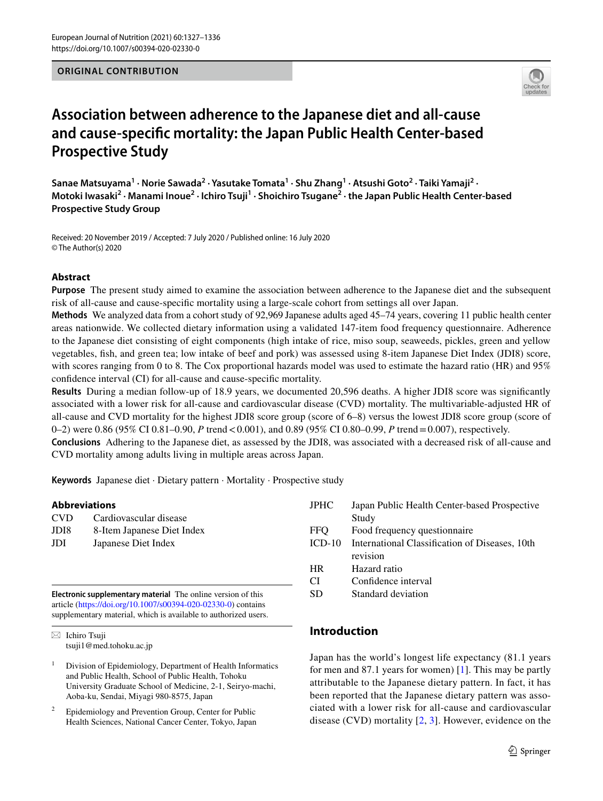## **ORIGINAL CONTRIBUTION**



# **Association between adherence to the Japanese diet and all‑cause and cause‑specifc mortality: the Japan Public Health Center‑based Prospective Study**

Sanae Matsuyama<sup>1</sup> • Norie Sawada<sup>2</sup> • Yasutake Tomata<sup>1</sup> • Shu Zhang<sup>1</sup> • Atsushi Goto<sup>2</sup> • Taiki Yamaji<sup>2</sup> • Motoki Iwasaki<sup>2</sup> · Manami Inoue<sup>2</sup> · Ichiro Tsuji<sup>1</sup> · Shoichiro Tsugane<sup>2</sup> · the Japan Public Health Center-based **Prospective Study Group**

Received: 20 November 2019 / Accepted: 7 July 2020 / Published online: 16 July 2020 © The Author(s) 2020

## **Abstract**

**Purpose** The present study aimed to examine the association between adherence to the Japanese diet and the subsequent risk of all-cause and cause-specifc mortality using a large-scale cohort from settings all over Japan.

**Methods** We analyzed data from a cohort study of 92,969 Japanese adults aged 45–74 years, covering 11 public health center areas nationwide. We collected dietary information using a validated 147-item food frequency questionnaire. Adherence to the Japanese diet consisting of eight components (high intake of rice, miso soup, seaweeds, pickles, green and yellow vegetables, fsh, and green tea; low intake of beef and pork) was assessed using 8-item Japanese Diet Index (JDI8) score, with scores ranging from 0 to 8. The Cox proportional hazards model was used to estimate the hazard ratio (HR) and 95% confdence interval (CI) for all-cause and cause-specifc mortality.

**Results** During a median follow-up of 18.9 years, we documented 20,596 deaths. A higher JDI8 score was signifcantly associated with a lower risk for all-cause and cardiovascular disease (CVD) mortality. The multivariable-adjusted HR of all-cause and CVD mortality for the highest JDI8 score group (score of 6–8) versus the lowest JDI8 score group (score of 0–2) were 0.86 (95% CI 0.81–0.90, *P* trend < 0.001), and 0.89 (95% CI 0.80–0.99, *P* trend = 0.007), respectively.

**Conclusions** Adhering to the Japanese diet, as assessed by the JDI8, was associated with a decreased risk of all-cause and CVD mortality among adults living in multiple areas across Japan.

**Keywords** Japanese diet · Dietary pattern · Mortality · Prospective study

## **Abbreviations**

| <b>CVD</b> | Cardiovascular disease     |
|------------|----------------------------|
| JDI8       | 8-Item Japanese Diet Index |
| JDI        | Japanese Diet Index        |

**Electronic supplementary material** The online version of this article [\(https://doi.org/10.1007/s00394-020-02330-0\)](https://doi.org/10.1007/s00394-020-02330-0) contains supplementary material, which is available to authorized users.

 $\boxtimes$  Ichiro Tsuji tsuji1@med.tohoku.ac.jp

<sup>1</sup> Division of Epidemiology, Department of Health Informatics and Public Health, School of Public Health, Tohoku University Graduate School of Medicine, 2-1, Seiryo-machi, Aoba-ku, Sendai, Miyagi 980-8575, Japan

<sup>2</sup> Epidemiology and Prevention Group, Center for Public Health Sciences, National Cancer Center, Tokyo, Japan

| <b>JPHC</b> | Japan Public Health Center-based Prospective   |
|-------------|------------------------------------------------|
|             | Study                                          |
| <b>FFO</b>  | Food frequency question aire                   |
| $ICD-10$    | International Classification of Diseases, 10th |
|             | revision                                       |
| <b>HR</b>   | Hazard ratio                                   |
| CΙ          | Confidence interval                            |
|             |                                                |

SD Standard deviation

# **Introduction**

Japan has the world's longest life expectancy (81.1 years for men and 87.1 years for women) [\[1\]](#page-7-0). This may be partly attributable to the Japanese dietary pattern. In fact, it has been reported that the Japanese dietary pattern was associated with a lower risk for all-cause and cardiovascular disease (CVD) mortality  $[2, 3]$  $[2, 3]$  $[2, 3]$  $[2, 3]$  $[2, 3]$ . However, evidence on the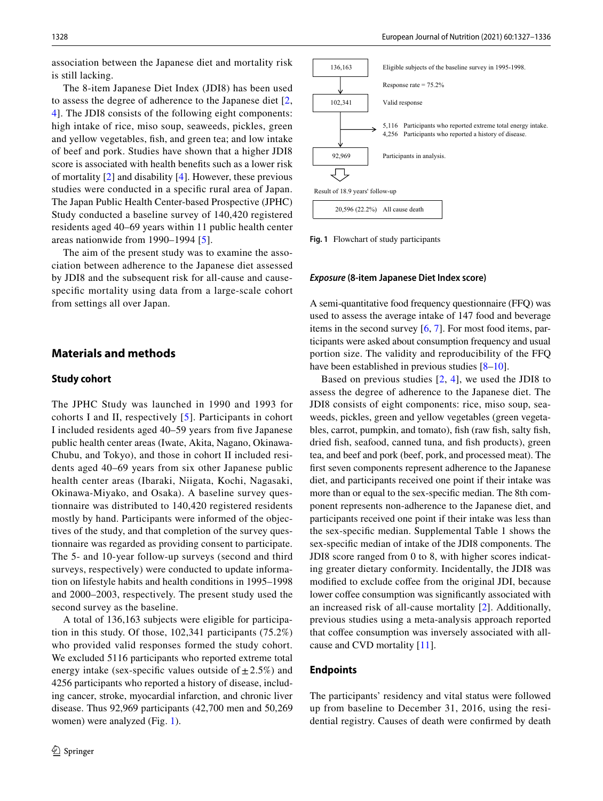association between the Japanese diet and mortality risk is still lacking.

The 8-item Japanese Diet Index (JDI8) has been used to assess the degree of adherence to the Japanese diet [\[2,](#page-7-1) [4](#page-7-3)]. The JDI8 consists of the following eight components: high intake of rice, miso soup, seaweeds, pickles, green and yellow vegetables, fsh, and green tea; and low intake of beef and pork. Studies have shown that a higher JDI8 score is associated with health benefts such as a lower risk of mortality [\[2](#page-7-1)] and disability [[4\]](#page-7-3). However, these previous studies were conducted in a specifc rural area of Japan. The Japan Public Health Center-based Prospective (JPHC) Study conducted a baseline survey of 140,420 registered residents aged 40–69 years within 11 public health center areas nationwide from 1990–1994 [[5](#page-7-4)].

The aim of the present study was to examine the association between adherence to the Japanese diet assessed by JDI8 and the subsequent risk for all-cause and causespecifc mortality using data from a large-scale cohort from settings all over Japan.

## **Materials and methods**

#### **Study cohort**

The JPHC Study was launched in 1990 and 1993 for cohorts I and II, respectively [[5](#page-7-4)]. Participants in cohort I included residents aged 40–59 years from fve Japanese public health center areas (Iwate, Akita, Nagano, Okinawa-Chubu, and Tokyo), and those in cohort II included residents aged 40–69 years from six other Japanese public health center areas (Ibaraki, Niigata, Kochi, Nagasaki, Okinawa-Miyako, and Osaka). A baseline survey questionnaire was distributed to 140,420 registered residents mostly by hand. Participants were informed of the objectives of the study, and that completion of the survey questionnaire was regarded as providing consent to participate. The 5- and 10-year follow-up surveys (second and third surveys, respectively) were conducted to update information on lifestyle habits and health conditions in 1995–1998 and 2000–2003, respectively. The present study used the second survey as the baseline.

A total of 136,163 subjects were eligible for participation in this study. Of those, 102,341 participants (75.2%) who provided valid responses formed the study cohort. We excluded 5116 participants who reported extreme total energy intake (sex-specific values outside of  $\pm 2.5\%$ ) and 4256 participants who reported a history of disease, including cancer, stroke, myocardial infarction, and chronic liver disease. Thus 92,969 participants (42,700 men and 50,269 women) were analyzed (Fig. [1](#page-1-0)).



<span id="page-1-0"></span>**Fig. 1** Flowchart of study participants

#### *Exposure* **(8‑item Japanese Diet Index score)**

A semi-quantitative food frequency questionnaire (FFQ) was used to assess the average intake of 147 food and beverage items in the second survey  $[6, 7]$  $[6, 7]$  $[6, 7]$  $[6, 7]$ . For most food items, participants were asked about consumption frequency and usual portion size. The validity and reproducibility of the FFQ have been established in previous studies [\[8](#page-7-7)[–10](#page-7-8)].

Based on previous studies  $[2, 4]$  $[2, 4]$  $[2, 4]$  $[2, 4]$  $[2, 4]$ , we used the JDI8 to assess the degree of adherence to the Japanese diet. The JDI8 consists of eight components: rice, miso soup, seaweeds, pickles, green and yellow vegetables (green vegetables, carrot, pumpkin, and tomato), fsh (raw fsh, salty fsh, dried fsh, seafood, canned tuna, and fsh products), green tea, and beef and pork (beef, pork, and processed meat). The frst seven components represent adherence to the Japanese diet, and participants received one point if their intake was more than or equal to the sex-specifc median. The 8th component represents non-adherence to the Japanese diet, and participants received one point if their intake was less than the sex-specifc median. Supplemental Table 1 shows the sex-specifc median of intake of the JDI8 components. The JDI8 score ranged from 0 to 8, with higher scores indicating greater dietary conformity. Incidentally, the JDI8 was modified to exclude coffee from the original JDI, because lower coffee consumption was significantly associated with an increased risk of all-cause mortality [\[2](#page-7-1)]. Additionally, previous studies using a meta-analysis approach reported that coffee consumption was inversely associated with allcause and CVD mortality [[11](#page-8-0)].

#### **Endpoints**

The participants' residency and vital status were followed up from baseline to December 31, 2016, using the residential registry. Causes of death were confrmed by death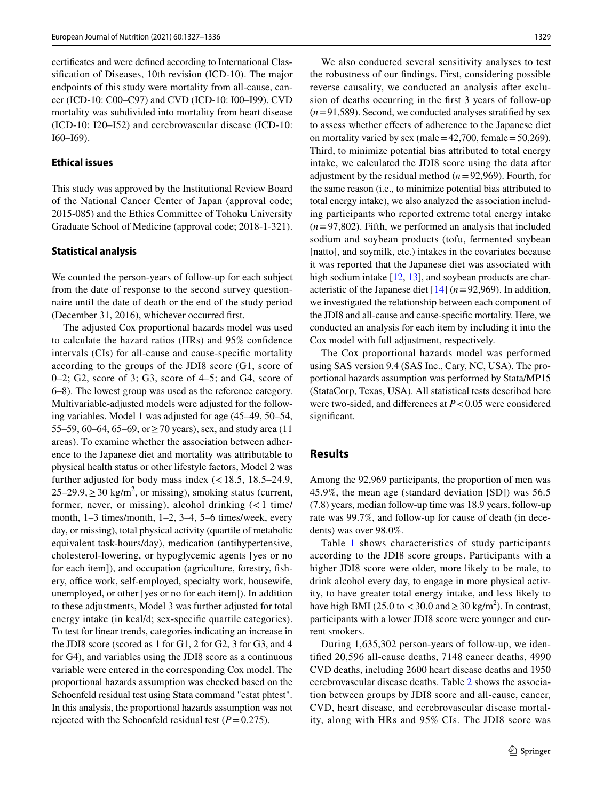certifcates and were defned according to International Classifcation of Diseases, 10th revision (ICD-10). The major endpoints of this study were mortality from all-cause, cancer (ICD-10: C00–C97) and CVD (ICD-10: I00–I99). CVD mortality was subdivided into mortality from heart disease (ICD-10: I20–I52) and cerebrovascular disease (ICD-10: I60–I69).

#### **Ethical issues**

This study was approved by the Institutional Review Board of the National Cancer Center of Japan (approval code; 2015-085) and the Ethics Committee of Tohoku University Graduate School of Medicine (approval code; 2018-1-321).

#### **Statistical analysis**

We counted the person-years of follow-up for each subject from the date of response to the second survey questionnaire until the date of death or the end of the study period (December 31, 2016), whichever occurred frst.

The adjusted Cox proportional hazards model was used to calculate the hazard ratios (HRs) and 95% confdence intervals (CIs) for all-cause and cause-specifc mortality according to the groups of the JDI8 score (G1, score of 0–2; G2, score of 3; G3, score of 4–5; and G4, score of 6–8). The lowest group was used as the reference category. Multivariable-adjusted models were adjusted for the following variables. Model 1 was adjusted for age (45–49, 50–54, 55–59, 60–64, 65–69, or  $\geq$  70 years), sex, and study area (11 areas). To examine whether the association between adherence to the Japanese diet and mortality was attributable to physical health status or other lifestyle factors, Model 2 was further adjusted for body mass index  $\left($  < 18.5, 18.5–24.9,  $25-29.9$ ,  $\geq 30$  kg/m<sup>2</sup>, or missing), smoking status (current, former, never, or missing), alcohol drinking  $\left($  < 1 time/ month, 1–3 times/month, 1–2, 3–4, 5–6 times/week, every day, or missing), total physical activity (quartile of metabolic equivalent task-hours/day), medication (antihypertensive, cholesterol-lowering, or hypoglycemic agents [yes or no for each item]), and occupation (agriculture, forestry, fshery, office work, self-employed, specialty work, housewife, unemployed, or other [yes or no for each item]). In addition to these adjustments, Model 3 was further adjusted for total energy intake (in kcal/d; sex-specifc quartile categories). To test for linear trends, categories indicating an increase in the JDI8 score (scored as 1 for G1, 2 for G2, 3 for G3, and 4 for G4), and variables using the JDI8 score as a continuous variable were entered in the corresponding Cox model. The proportional hazards assumption was checked based on the Schoenfeld residual test using Stata command "estat phtest". In this analysis, the proportional hazards assumption was not rejected with the Schoenfeld residual test  $(P=0.275)$ .

We also conducted several sensitivity analyses to test the robustness of our fndings. First, considering possible reverse causality, we conducted an analysis after exclusion of deaths occurring in the frst 3 years of follow-up  $(n=91,589)$ . Second, we conducted analyses stratified by sex to assess whether efects of adherence to the Japanese diet on mortality varied by sex (male =  $42,700$ , female =  $50,269$ ). Third, to minimize potential bias attributed to total energy intake, we calculated the JDI8 score using the data after adjustment by the residual method (*n*=92,969). Fourth, for the same reason (i.e., to minimize potential bias attributed to total energy intake), we also analyzed the association including participants who reported extreme total energy intake  $(n=97,802)$ . Fifth, we performed an analysis that included sodium and soybean products (tofu, fermented soybean [natto], and soymilk, etc.) intakes in the covariates because it was reported that the Japanese diet was associated with high sodium intake [\[12](#page-8-1), [13\]](#page-8-2), and soybean products are characteristic of the Japanese diet [[14\]](#page-8-3) (*n*=92,969). In addition, we investigated the relationship between each component of the JDI8 and all-cause and cause-specifc mortality. Here, we conducted an analysis for each item by including it into the Cox model with full adjustment, respectively.

The Cox proportional hazards model was performed using SAS version 9.4 (SAS Inc., Cary, NC, USA). The proportional hazards assumption was performed by Stata/MP15 (StataCorp, Texas, USA). All statistical tests described here were two-sided, and differences at *P*<0.05 were considered significant.

## **Results**

Among the 92,969 participants, the proportion of men was 45.9%, the mean age (standard deviation [SD]) was 56.5 (7.8) years, median follow-up time was 18.9 years, follow-up rate was 99.7%, and follow-up for cause of death (in decedents) was over 98.0%.

Table [1](#page-3-0) shows characteristics of study participants according to the JDI8 score groups. Participants with a higher JDI8 score were older, more likely to be male, to drink alcohol every day, to engage in more physical activity, to have greater total energy intake, and less likely to have high BMI (25.0 to <30.0 and  $\geq$  30 kg/m<sup>2</sup>). In contrast, participants with a lower JDI8 score were younger and current smokers.

During 1,635,302 person-years of follow-up, we identifed 20,596 all-cause deaths, 7148 cancer deaths, 4990 CVD deaths, including 2600 heart disease deaths and 1950 cerebrovascular disease deaths. Table [2](#page-4-0) shows the association between groups by JDI8 score and all-cause, cancer, CVD, heart disease, and cerebrovascular disease mortality, along with HRs and 95% CIs. The JDI8 score was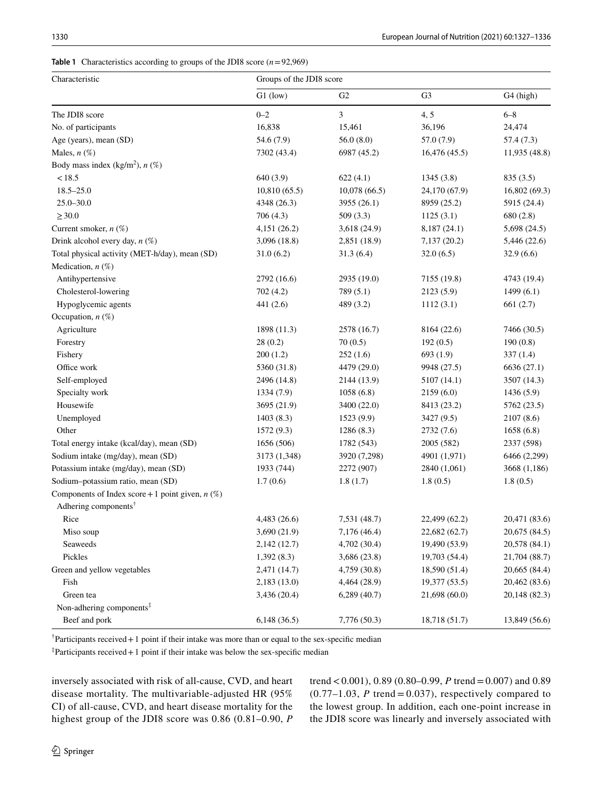<span id="page-3-0"></span>

| <b>Table 1</b> Characteristics according to groups of the JDI8 score $(n=92,969)$ |
|-----------------------------------------------------------------------------------|
|                                                                                   |

| Characteristic                                     | Groups of the JDI8 score |                |                |               |
|----------------------------------------------------|--------------------------|----------------|----------------|---------------|
|                                                    | $G1$ (low)               | G <sub>2</sub> | G <sub>3</sub> | G4 (high)     |
| The JDI8 score                                     | $0 - 2$                  | 3              | 4,5            | $6 - 8$       |
| No. of participants                                | 16,838                   | 15,461         | 36,196         | 24,474        |
| Age (years), mean (SD)                             | 54.6 (7.9)               | 56.0(8.0)      | 57.0 (7.9)     | 57.4 (7.3)    |
| Males, $n(\%)$                                     | 7302 (43.4)              | 6987 (45.2)    | 16,476(45.5)   | 11,935 (48.8) |
| Body mass index (kg/m <sup>2</sup> ), $n$ (%)      |                          |                |                |               |
| < 18.5                                             | 640 (3.9)                | 622(4.1)       | 1345 (3.8)     | 835 (3.5)     |
| $18.5 - 25.0$                                      | 10,810(65.5)             | 10,078(66.5)   | 24,170 (67.9)  | 16,802(69.3)  |
| $25.0 - 30.0$                                      | 4348 (26.3)              | 3955 (26.1)    | 8959 (25.2)    | 5915 (24.4)   |
| $\geq$ 30.0                                        | 706 (4.3)                | 509(3.3)       | 1125(3.1)      | 680 (2.8)     |
| Current smoker, $n$ (%)                            | 4,151(26.2)              | 3,618 (24.9)   | 8,187 (24.1)   | 5,698 (24.5)  |
| Drink alcohol every day, $n$ (%)                   | 3,096(18.8)              | 2,851 (18.9)   | 7,137(20.2)    | 5,446 (22.6)  |
| Total physical activity (MET-h/day), mean (SD)     | 31.0(6.2)                | 31.3(6.4)      | 32.0(6.5)      | 32.9(6.6)     |
| Medication, $n$ $(\%)$                             |                          |                |                |               |
| Antihypertensive                                   | 2792 (16.6)              | 2935 (19.0)    | 7155 (19.8)    | 4743 (19.4)   |
| Cholesterol-lowering                               | 702 (4.2)                | 789 (5.1)      | 2123 (5.9)     | 1499(6.1)     |
| Hypoglycemic agents                                | 441 (2.6)                | 489 (3.2)      | 1112(3.1)      | 661(2.7)      |
| Occupation, $n$ $(\%)$                             |                          |                |                |               |
| Agriculture                                        | 1898 (11.3)              | 2578 (16.7)    | 8164 (22.6)    | 7466 (30.5)   |
| Forestry                                           | 28(0.2)                  | 70(0.5)        | 192(0.5)       | 190(0.8)      |
| Fishery                                            | 200(1.2)                 | 252(1.6)       | 693(1.9)       | 337(1.4)      |
| Office work                                        | 5360 (31.8)              | 4479 (29.0)    | 9948 (27.5)    | 6636 (27.1)   |
| Self-employed                                      | 2496 (14.8)              | 2144 (13.9)    | 5107 (14.1)    | 3507 (14.3)   |
| Specialty work                                     | 1334 (7.9)               | 1058(6.8)      | 2159(6.0)      | 1436(5.9)     |
| Housewife                                          | 3695 (21.9)              | 3400 (22.0)    | 8413 (23.2)    | 5762 (23.5)   |
| Unemployed                                         | 1403(8.3)                | 1523 (9.9)     | 3427 (9.5)     | 2107(8.6)     |
| Other                                              | 1572 (9.3)               | 1286(8.3)      | 2732 (7.6)     | 1658(6.8)     |
| Total energy intake (kcal/day), mean (SD)          | 1656 (506)               | 1782 (543)     | 2005 (582)     | 2337 (598)    |
| Sodium intake (mg/day), mean (SD)                  | 3173 (1,348)             | 3920 (7,298)   | 4901 (1,971)   | 6466 (2,299)  |
| Potassium intake (mg/day), mean (SD)               | 1933 (744)               | 2272 (907)     | 2840 (1,061)   | 3668 (1,186)  |
| Sodium-potassium ratio, mean (SD)                  | 1.7(0.6)                 | 1.8(1.7)       | 1.8(0.5)       | 1.8(0.5)      |
| Components of Index score + 1 point given, $n$ (%) |                          |                |                |               |
| Adhering components <sup>†</sup>                   |                          |                |                |               |
| Rice                                               | 4,483(26.6)              | 7,531 (48.7)   | 22,499 (62.2)  | 20,471 (83.6) |
| Miso soup                                          | 3,690 (21.9)             | 7,176 (46.4)   | 22,682 (62.7)  | 20,675 (84.5) |
| Seaweeds                                           | 2,142(12.7)              | 4,702 (30.4)   | 19,490 (53.9)  | 20,578 (84.1) |
| Pickles                                            | 1,392(8.3)               | 3,686 (23.8)   | 19,703 (54.4)  | 21,704 (88.7) |
| Green and yellow vegetables                        | 2,471 (14.7)             | 4,759 (30.8)   | 18,590 (51.4)  | 20,665 (84.4) |
| Fish                                               | 2,183 (13.0)             | 4,464 (28.9)   | 19,377 (53.5)  | 20,462 (83.6) |
| Green tea                                          | 3,436(20.4)              | $6,289$ (40.7) | 21,698 (60.0)  | 20,148 (82.3) |
| Non-adhering components <sup>‡</sup>               |                          |                |                |               |
| Beef and pork                                      | 6,148(36.5)              | 7,776 (50.3)   | 18,718 (51.7)  | 13,849 (56.6) |
|                                                    |                          |                |                |               |

 $\alpha$ <sup>†</sup> Participants received + 1 point if their intake was more than or equal to the sex-specific median

‡ Participants received+1 point if their intake was below the sex-specifc median

inversely associated with risk of all-cause, CVD, and heart disease mortality. The multivariable-adjusted HR (95% CI) of all-cause, CVD, and heart disease mortality for the highest group of the JDI8 score was 0.86 (0.81–0.90, *P* trend < 0.001), 0.89 (0.80–0.99, *P* trend = 0.007) and 0.89  $(0.77-1.03, P$  trend = 0.037), respectively compared to the lowest group. In addition, each one-point increase in the JDI8 score was linearly and inversely associated with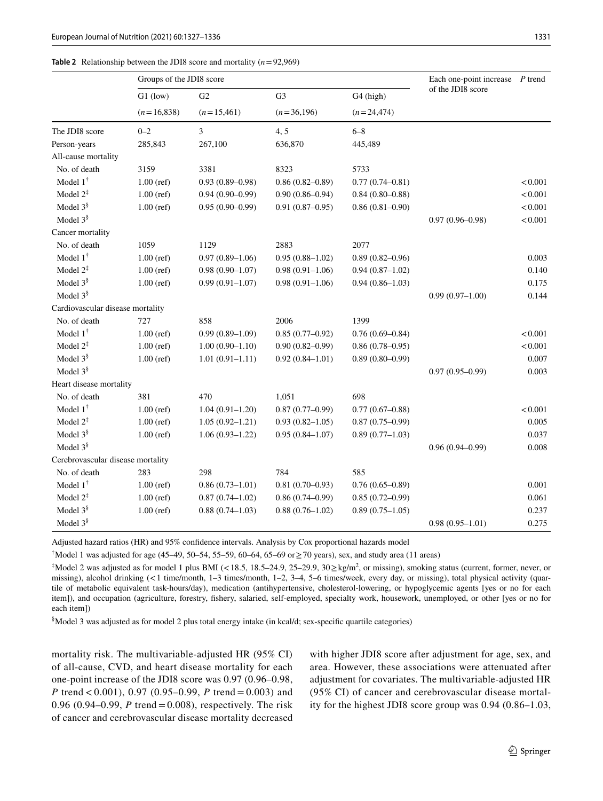#### <span id="page-4-0"></span>**Table 2** Relationship between the JDI8 score and mortality (*n*=92,969)

|                                   | Groups of the JDI8 score |                     |                     |                       | Each one-point increase | P trend |
|-----------------------------------|--------------------------|---------------------|---------------------|-----------------------|-------------------------|---------|
|                                   | $G1$ (low)               | G <sub>2</sub>      | G <sub>3</sub>      | G <sub>4</sub> (high) | of the JDI8 score       |         |
|                                   | $(n=16,838)$             | $(n=15,461)$        | $(n=36,196)$        | $(n=24,474)$          |                         |         |
| The JDI8 score                    | $0 - 2$                  | 3                   | 4, 5                | $6 - 8$               |                         |         |
| Person-years                      | 285,843                  | 267,100             | 636,870             | 445,489               |                         |         |
| All-cause mortality               |                          |                     |                     |                       |                         |         |
| No. of death                      | 3159                     | 3381                | 8323                | 5733                  |                         |         |
| Model $1^{\dagger}$               | $1.00$ (ref)             | $0.93(0.89 - 0.98)$ | $0.86(0.82 - 0.89)$ | $0.77(0.74 - 0.81)$   |                         | < 0.001 |
| Model $2^{\ddagger}$              | $1.00$ (ref)             | $0.94(0.90-0.99)$   | $0.90(0.86 - 0.94)$ | $0.84(0.80 - 0.88)$   |                         | < 0.001 |
| Model $3§$                        | $1.00$ (ref)             | $0.95(0.90-0.99)$   | $0.91(0.87 - 0.95)$ | $0.86(0.81 - 0.90)$   |                         | < 0.001 |
| Model $3§$                        |                          |                     |                     |                       | $0.97(0.96 - 0.98)$     | < 0.001 |
| Cancer mortality                  |                          |                     |                     |                       |                         |         |
| No. of death                      | 1059                     | 1129                | 2883                | 2077                  |                         |         |
| Model $1^{\dagger}$               | $1.00$ (ref)             | $0.97(0.89 - 1.06)$ | $0.95(0.88 - 1.02)$ | $0.89(0.82 - 0.96)$   |                         | 0.003   |
| Model $2^{\ddagger}$              | $1.00$ (ref)             | $0.98(0.90 - 1.07)$ | $0.98(0.91-1.06)$   | $0.94(0.87-1.02)$     |                         | 0.140   |
| Model $3§$                        | $1.00$ (ref)             | $0.99(0.91 - 1.07)$ | $0.98(0.91-1.06)$   | $0.94(0.86 - 1.03)$   |                         | 0.175   |
| Model $3§$                        |                          |                     |                     |                       | $0.99(0.97-1.00)$       | 0.144   |
| Cardiovascular disease mortality  |                          |                     |                     |                       |                         |         |
| No. of death                      | 727                      | 858                 | 2006                | 1399                  |                         |         |
| Model $1^{\dagger}$               | $1.00$ (ref)             | $0.99(0.89 - 1.09)$ | $0.85(0.77-0.92)$   | $0.76(0.69 - 0.84)$   |                         | < 0.001 |
| Model $2^{\ddagger}$              | $1.00$ (ref)             | $1.00(0.90 - 1.10)$ | $0.90(0.82 - 0.99)$ | $0.86(0.78 - 0.95)$   |                         | < 0.001 |
| Model $3§$                        | $1.00$ (ref)             | $1.01(0.91 - 1.11)$ | $0.92(0.84 - 1.01)$ | $0.89(0.80 - 0.99)$   |                         | 0.007   |
| Model $3§$                        |                          |                     |                     |                       | $0.97(0.95 - 0.99)$     | 0.003   |
| Heart disease mortality           |                          |                     |                     |                       |                         |         |
| No. of death                      | 381                      | 470                 | 1,051               | 698                   |                         |         |
| Model $1^{\dagger}$               | $1.00$ (ref)             | $1.04(0.91-1.20)$   | $0.87(0.77-0.99)$   | $0.77(0.67 - 0.88)$   |                         | < 0.001 |
| Model $2^{\ddagger}$              | $1.00$ (ref)             | $1.05(0.92 - 1.21)$ | $0.93(0.82 - 1.05)$ | $0.87(0.75-0.99)$     |                         | 0.005   |
| Model $3§$                        | $1.00$ (ref)             | $1.06(0.93 - 1.22)$ | $0.95(0.84 - 1.07)$ | $0.89(0.77-1.03)$     |                         | 0.037   |
| Model $3§$                        |                          |                     |                     |                       | $0.96(0.94 - 0.99)$     | 0.008   |
| Cerebrovascular disease mortality |                          |                     |                     |                       |                         |         |
| No. of death                      | 283                      | 298                 | 784                 | 585                   |                         |         |
| Model $1^{\dagger}$               | $1.00$ (ref)             | $0.86(0.73 - 1.01)$ | $0.81(0.70-0.93)$   | $0.76(0.65 - 0.89)$   |                         | 0.001   |
| Model $2^{\ddagger}$              | $1.00$ (ref)             | $0.87(0.74 - 1.02)$ | $0.86(0.74 - 0.99)$ | $0.85(0.72 - 0.99)$   |                         | 0.061   |
| Model $3§$                        | $1.00$ (ref)             | $0.88(0.74 - 1.03)$ | $0.88(0.76 - 1.02)$ | $0.89(0.75-1.05)$     |                         | 0.237   |
| Model $3§$                        |                          |                     |                     |                       | $0.98(0.95 - 1.01)$     | 0.275   |

Adjusted hazard ratios (HR) and 95% confdence intervals. Analysis by Cox proportional hazards model

† Model 1 was adjusted for age (45–49, 50–54, 55–59, 60–64, 65–69 or≥70 years), sex, and study area (11 areas)

 $\textsuperscript{4}$  Model 2 was adjusted as for model 1 plus BMI (<18.5, 18.5–24.9, 25–29.9, 30 $\geq$ kg/m<sup>2</sup>, or missing), smoking status (current, former, never, or missing), alcohol drinking (<1 time/month, 1–3 times/month, 1–2, 3–4, 5–6 times/week, every day, or missing), total physical activity (quartile of metabolic equivalent task-hours/day), medication (antihypertensive, cholesterol-lowering, or hypoglycemic agents [yes or no for each item]), and occupation (agriculture, forestry, fshery, salaried, self-employed, specialty work, housework, unemployed, or other [yes or no for each item])

§ Model 3 was adjusted as for model 2 plus total energy intake (in kcal/d; sex-specifc quartile categories)

mortality risk. The multivariable-adjusted HR (95% CI) of all-cause, CVD, and heart disease mortality for each one-point increase of the JDI8 score was 0.97 (0.96–0.98, *P* trend < 0.001), 0.97 (0.95–0.99, *P* trend = 0.003) and 0.96 (0.94–0.99, *P* trend = 0.008), respectively. The risk of cancer and cerebrovascular disease mortality decreased with higher JDI8 score after adjustment for age, sex, and area. However, these associations were attenuated after adjustment for covariates. The multivariable-adjusted HR (95% CI) of cancer and cerebrovascular disease mortality for the highest JDI8 score group was 0.94 (0.86–1.03,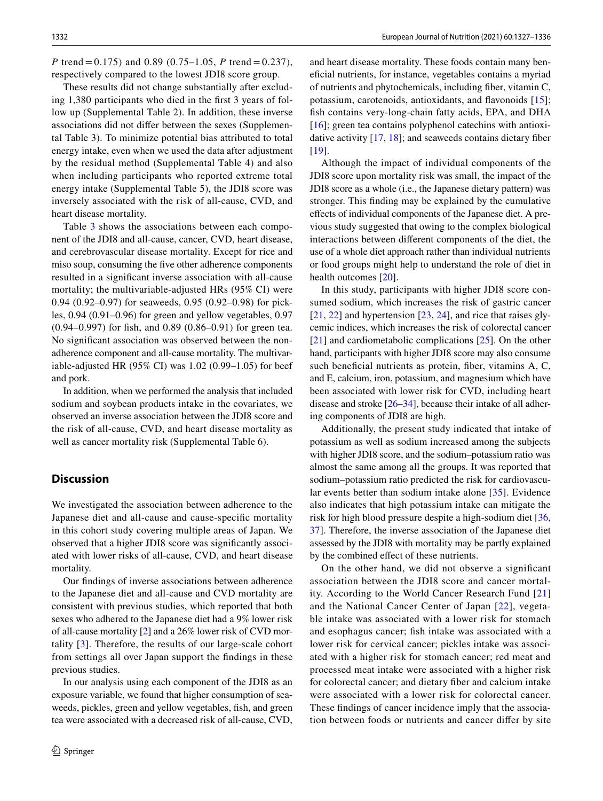*P* trend = 0.175) and 0.89 (0.75–1.05, *P* trend = 0.237), respectively compared to the lowest JDI8 score group.

These results did not change substantially after excluding 1,380 participants who died in the frst 3 years of follow up (Supplemental Table 2). In addition, these inverse associations did not difer between the sexes (Supplemental Table 3). To minimize potential bias attributed to total energy intake, even when we used the data after adjustment by the residual method (Supplemental Table 4) and also when including participants who reported extreme total energy intake (Supplemental Table 5), the JDI8 score was inversely associated with the risk of all-cause, CVD, and heart disease mortality.

Table [3](#page-6-0) shows the associations between each component of the JDI8 and all-cause, cancer, CVD, heart disease, and cerebrovascular disease mortality. Except for rice and miso soup, consuming the fve other adherence components resulted in a signifcant inverse association with all-cause mortality; the multivariable-adjusted HRs (95% CI) were 0.94 (0.92–0.97) for seaweeds, 0.95 (0.92–0.98) for pickles, 0.94 (0.91–0.96) for green and yellow vegetables, 0.97 (0.94–0.997) for fsh, and 0.89 (0.86–0.91) for green tea. No signifcant association was observed between the nonadherence component and all-cause mortality. The multivariable-adjusted HR (95% CI) was 1.02 (0.99–1.05) for beef and pork.

In addition, when we performed the analysis that included sodium and soybean products intake in the covariates, we observed an inverse association between the JDI8 score and the risk of all-cause, CVD, and heart disease mortality as well as cancer mortality risk (Supplemental Table 6).

## **Discussion**

We investigated the association between adherence to the Japanese diet and all-cause and cause-specifc mortality in this cohort study covering multiple areas of Japan. We observed that a higher JDI8 score was signifcantly associated with lower risks of all-cause, CVD, and heart disease mortality.

Our fndings of inverse associations between adherence to the Japanese diet and all-cause and CVD mortality are consistent with previous studies, which reported that both sexes who adhered to the Japanese diet had a 9% lower risk of all-cause mortality [\[2](#page-7-1)] and a 26% lower risk of CVD mortality [\[3](#page-7-2)]. Therefore, the results of our large-scale cohort from settings all over Japan support the fndings in these previous studies.

In our analysis using each component of the JDI8 as an exposure variable, we found that higher consumption of seaweeds, pickles, green and yellow vegetables, fsh, and green tea were associated with a decreased risk of all-cause, CVD,

and heart disease mortality. These foods contain many benefcial nutrients, for instance, vegetables contains a myriad of nutrients and phytochemicals, including fber, vitamin C, potassium, carotenoids, antioxidants, and favonoids [[15](#page-8-4)]; fish contains very-long-chain fatty acids, EPA, and DHA  $[16]$  $[16]$ ; green tea contains polyphenol catechins with antioxidative activity [[17,](#page-8-6) [18\]](#page-8-7); and seaweeds contains dietary fber [[19\]](#page-8-8).

Although the impact of individual components of the JDI8 score upon mortality risk was small, the impact of the JDI8 score as a whole (i.e., the Japanese dietary pattern) was stronger. This fnding may be explained by the cumulative efects of individual components of the Japanese diet. A previous study suggested that owing to the complex biological interactions between diferent components of the diet, the use of a whole diet approach rather than individual nutrients or food groups might help to understand the role of diet in health outcomes [[20](#page-8-9)].

In this study, participants with higher JDI8 score consumed sodium, which increases the risk of gastric cancer [[21,](#page-8-10) [22\]](#page-8-11) and hypertension [\[23](#page-8-12), [24](#page-8-13)], and rice that raises glycemic indices, which increases the risk of colorectal cancer [[21\]](#page-8-10) and cardiometabolic complications [\[25](#page-8-14)]. On the other hand, participants with higher JDI8 score may also consume such beneficial nutrients as protein, fiber, vitamins A, C, and E, calcium, iron, potassium, and magnesium which have been associated with lower risk for CVD, including heart disease and stroke  $[26-34]$  $[26-34]$ , because their intake of all adhering components of JDI8 are high.

Additionally, the present study indicated that intake of potassium as well as sodium increased among the subjects with higher JDI8 score, and the sodium–potassium ratio was almost the same among all the groups. It was reported that sodium–potassium ratio predicted the risk for cardiovascular events better than sodium intake alone [[35\]](#page-8-17). Evidence also indicates that high potassium intake can mitigate the risk for high blood pressure despite a high-sodium diet [[36,](#page-8-18) [37](#page-8-19)]. Therefore, the inverse association of the Japanese diet assessed by the JDI8 with mortality may be partly explained by the combined efect of these nutrients.

On the other hand, we did not observe a signifcant association between the JDI8 score and cancer mortality. According to the World Cancer Research Fund [\[21\]](#page-8-10) and the National Cancer Center of Japan [\[22](#page-8-11)], vegetable intake was associated with a lower risk for stomach and esophagus cancer; fsh intake was associated with a lower risk for cervical cancer; pickles intake was associated with a higher risk for stomach cancer; red meat and processed meat intake were associated with a higher risk for colorectal cancer; and dietary fber and calcium intake were associated with a lower risk for colorectal cancer. These fndings of cancer incidence imply that the association between foods or nutrients and cancer difer by site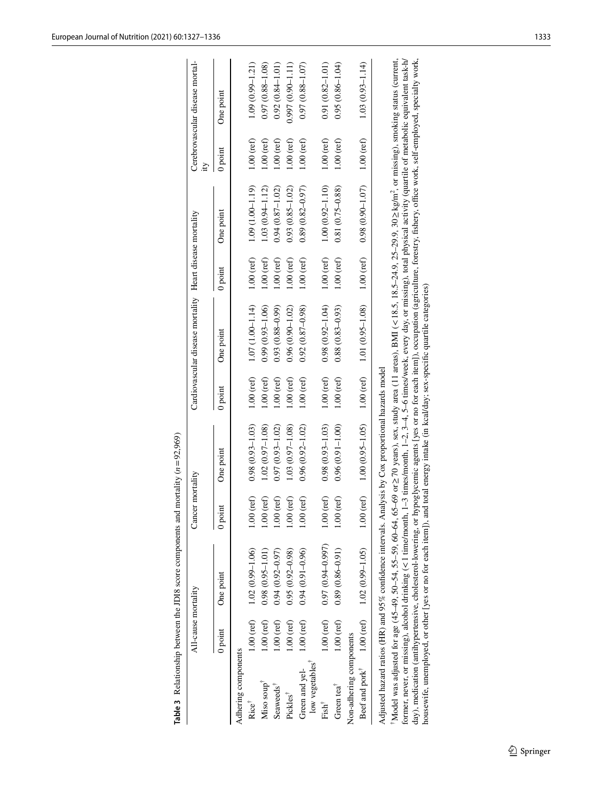|                                               | All-cause mortality |                                                                                                                                                                                                                                                                                                                                                                                                                                                                                                                                                                                                                                                                                                                                            | Cancer mortality         |                     |              | Cardiovascular disease mortality Heart disease mortality                                                                             |              |                       | Ĕ            | Cerebrovascular disease mortal- |
|-----------------------------------------------|---------------------|--------------------------------------------------------------------------------------------------------------------------------------------------------------------------------------------------------------------------------------------------------------------------------------------------------------------------------------------------------------------------------------------------------------------------------------------------------------------------------------------------------------------------------------------------------------------------------------------------------------------------------------------------------------------------------------------------------------------------------------------|--------------------------|---------------------|--------------|--------------------------------------------------------------------------------------------------------------------------------------|--------------|-----------------------|--------------|---------------------------------|
|                                               | 0 point             | One point                                                                                                                                                                                                                                                                                                                                                                                                                                                                                                                                                                                                                                                                                                                                  | $0$ poin                 | One point           | 0 point      | One point                                                                                                                            | 0 point      | One point             | 0 point      | One point                       |
| Adhering components                           |                     |                                                                                                                                                                                                                                                                                                                                                                                                                                                                                                                                                                                                                                                                                                                                            |                          |                     |              |                                                                                                                                      |              |                       |              |                                 |
| Rice                                          | $1.00$ (ref)        | $1.02(0.99 - 1.06)$                                                                                                                                                                                                                                                                                                                                                                                                                                                                                                                                                                                                                                                                                                                        | $1.00$ (ref)             | $0.98(0.93 - 1.03)$ | $1.00$ (ref) | $1.07(1.00 - 1.14)$                                                                                                                  | $1.00$ (ref) | $1.09(1.00 - 1.19)$   | $1.00$ (ref) | $1.09(0.99 - 1.21)$             |
| Miso soup <sup>†</sup>                        | $1.00$ (ref)        | $0.98(0.95 - 1.01)$                                                                                                                                                                                                                                                                                                                                                                                                                                                                                                                                                                                                                                                                                                                        | ref)<br>1.00(            | $1.02(0.97 - 1.08)$ | $1.00$ (ref) | $0.99(0.93 - 1.06)$                                                                                                                  | $1.00$ (ref) | $1.03(0.94 - 1.12)$   | $1.00$ (ref) | $0.97(0.88 - 1.08)$             |
| Seaweeds <sup>†</sup>                         | $1.00$ (ref)        | $0.94(0.92 - 0.97)$                                                                                                                                                                                                                                                                                                                                                                                                                                                                                                                                                                                                                                                                                                                        | $1.00$ (ref)             | $0.97(0.93 - 1.02)$ | $1.00$ (ref) | $0.93(0.88 - 0.99)$                                                                                                                  | $1.00$ (ref) | $0.94(0.87 - 1.02)$   | $1.00$ (ref) | $0.92(0.84 - 1.01)$             |
| Pickles <sup>†</sup>                          | $1.00$ (ref)        | $0.95(0.92 - 0.98)$                                                                                                                                                                                                                                                                                                                                                                                                                                                                                                                                                                                                                                                                                                                        | $1.00$ (ref)             | $1.03(0.97-1.08)$   | $1.00$ (ref) | $0.96(0.90 - 1.02)$                                                                                                                  | $1.00$ (ref) | $0.93(0.85 - 1.02)$   | $1.00$ (ref) | $(0.997(0.90 - 1.11))$          |
| low vegetables <sup>™</sup><br>Green and yel- | $1.00$ (ref)        | $0.94(0.91 - 0.96)$                                                                                                                                                                                                                                                                                                                                                                                                                                                                                                                                                                                                                                                                                                                        | $1.00$ (ref)             | $0.96(0.92 - 1.02)$ | $1.00$ (ref) | $0.92(0.87 - 0.98)$                                                                                                                  | $1.00$ (ref) | $(0.89(0.82 - 0.97))$ | $1.00$ (ref) | $0.97(0.88 - 1.07)$             |
| Fish <sup>†</sup>                             | $1.00$ (ref)        | $0.97(0.94 - 0.997)$                                                                                                                                                                                                                                                                                                                                                                                                                                                                                                                                                                                                                                                                                                                       | $1.00$ (ref)             | $0.98(0.93 - 1.03)$ | $1.00$ (ref) | $0.98(0.92 - 1.04)$                                                                                                                  | $1.00$ (ref) | $1.00(0.92 - 1.10)$   | $1.00$ (ref) | $0.91(0.82 - 1.01)$             |
| Green tea <sup>T</sup>                        | $1.00$ (ref)        | $0.89(0.86 - 0.91)$                                                                                                                                                                                                                                                                                                                                                                                                                                                                                                                                                                                                                                                                                                                        | ref)<br>$\frac{0}{1.00}$ | $0.96(0.91 - 1.00)$ | $1.00$ (ref) | $0.88(0.83 - 0.93)$                                                                                                                  | $1.00$ (ref) | $0.81(0.75 - 0.88)$   | $1.00$ (ref) | $0.95(0.86 - 1.04)$             |
| Non-adhering components                       |                     |                                                                                                                                                                                                                                                                                                                                                                                                                                                                                                                                                                                                                                                                                                                                            |                          |                     |              |                                                                                                                                      |              |                       |              |                                 |
|                                               |                     | Beef and pork <sup><math>T = 1.00</math> (ref) <math>1.02</math> (0.99-1.05)</sup>                                                                                                                                                                                                                                                                                                                                                                                                                                                                                                                                                                                                                                                         | (ref)<br>1.00(           | $1.00(0.95 - 1.05)$ | $1.00$ (ref) | 1.01 (0.95-1.08)                                                                                                                     | $1.00$ (ref) | $0.98(0.90 - 1.07)$   | $1.00$ (ref) | $1.03(0.93 - 1.14)$             |
|                                               |                     | Model was adjusted for age (45-49, 50-54, 55-59, 60-64, 65-69 or ≥70 years), sex, study area (11 areas), BMI $\langle$ 18.5, 18.5, 24.9, 25-24, 9.30 ≥ kg/m <sup>2</sup> , or missing), smoking status (current,<br>day), medication (antihypertensive, cholesterol-lowering, or hypoglycemic agents [yes or no for each item]), occupation (agriculture, forestry, fishery, office work, self-employed, specialty work,<br>housewife, unemployed, or other [yes or no for each item]), and total energy intake (in kcal/day; sex-specific quartile categories)<br>Adjusted hazard ratios (HR) and 95% confidence intervals. Analysis by Cox proportional hazards model<br>former, never, or missing), alcohol drinking $(< 1$ time/month, |                          |                     |              | 1-3 times/month, 1-2, 3-4, 5-6 times/week, every day, or missing), total physical activity (quartile of metabolic equivalent task-h/ |              |                       |              |                                 |

<span id="page-6-0"></span>Table 3 Relationship between the JDI8 score components and mortality  $(n=92,969)$ **Table 3** Relationship between the JDI8 score components and mortality (*n*=92,969)

 $\underline{\textcircled{\tiny 2}}$  Springer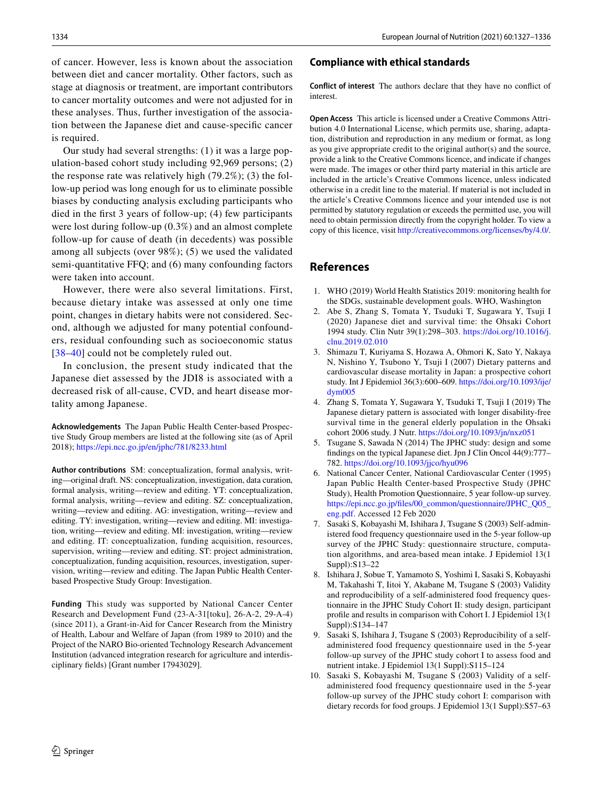of cancer. However, less is known about the association between diet and cancer mortality. Other factors, such as stage at diagnosis or treatment, are important contributors to cancer mortality outcomes and were not adjusted for in these analyses. Thus, further investigation of the association between the Japanese diet and cause-specifc cancer is required.

Our study had several strengths: (1) it was a large population-based cohort study including 92,969 persons; (2) the response rate was relatively high (79.2%); (3) the follow-up period was long enough for us to eliminate possible biases by conducting analysis excluding participants who died in the frst 3 years of follow-up; (4) few participants were lost during follow-up (0.3%) and an almost complete follow-up for cause of death (in decedents) was possible among all subjects (over 98%); (5) we used the validated semi-quantitative FFQ; and (6) many confounding factors were taken into account.

However, there were also several limitations. First, because dietary intake was assessed at only one time point, changes in dietary habits were not considered. Second, although we adjusted for many potential confounders, residual confounding such as socioeconomic status [38-[40](#page-9-1)] could not be completely ruled out.

In conclusion, the present study indicated that the Japanese diet assessed by the JDI8 is associated with a decreased risk of all-cause, CVD, and heart disease mortality among Japanese.

**Acknowledgements** The Japan Public Health Center-based Prospective Study Group members are listed at the following site (as of April 2018); <https://epi.ncc.go.jp/en/jphc/781/8233.html>

**Author contributions** SM: conceptualization, formal analysis, writing—original draft. NS: conceptualization, investigation, data curation, formal analysis, writing—review and editing. YT: conceptualization, formal analysis, writing—review and editing. SZ: conceptualization, writing—review and editing. AG: investigation, writing—review and editing. TY: investigation, writing—review and editing. MI: investigation, writing—review and editing. MI: investigation, writing—review and editing. IT: conceptualization, funding acquisition, resources, supervision, writing—review and editing. ST: project administration, conceptualization, funding acquisition, resources, investigation, supervision, writing—review and editing. The Japan Public Health Centerbased Prospective Study Group: Investigation.

**Funding** This study was supported by National Cancer Center Research and Development Fund (23-A-31[toku], 26-A-2, 29-A-4) (since 2011), a Grant-in-Aid for Cancer Research from the Ministry of Health, Labour and Welfare of Japan (from 1989 to 2010) and the Project of the NARO Bio-oriented Technology Research Advancement Institution (advanced integration research for agriculture and interdisciplinary felds) [Grant number 17943029].

#### **Compliance with ethical standards**

**Conflict of interest** The authors declare that they have no confict of interest.

**Open Access** This article is licensed under a Creative Commons Attribution 4.0 International License, which permits use, sharing, adaptation, distribution and reproduction in any medium or format, as long as you give appropriate credit to the original author(s) and the source, provide a link to the Creative Commons licence, and indicate if changes were made. The images or other third party material in this article are included in the article's Creative Commons licence, unless indicated otherwise in a credit line to the material. If material is not included in the article's Creative Commons licence and your intended use is not permitted by statutory regulation or exceeds the permitted use, you will need to obtain permission directly from the copyright holder. To view a copy of this licence, visit<http://creativecommons.org/licenses/by/4.0/>.

## **References**

- <span id="page-7-0"></span>1. WHO (2019) World Health Statistics 2019: monitoring health for the SDGs, sustainable development goals. WHO, Washington
- <span id="page-7-1"></span>2. Abe S, Zhang S, Tomata Y, Tsuduki T, Sugawara Y, Tsuji I (2020) Japanese diet and survival time: the Ohsaki Cohort 1994 study. Clin Nutr 39(1):298–303. [https://doi.org/10.1016/j.](https://doi.org/10.1016/j.clnu.2019.02.010) [clnu.2019.02.010](https://doi.org/10.1016/j.clnu.2019.02.010)
- <span id="page-7-2"></span>3. Shimazu T, Kuriyama S, Hozawa A, Ohmori K, Sato Y, Nakaya N, Nishino Y, Tsubono Y, Tsuji I (2007) Dietary patterns and cardiovascular disease mortality in Japan: a prospective cohort study. Int J Epidemiol 36(3):600–609. [https://doi.org/10.1093/ije/](https://doi.org/10.1093/ije/dym005) [dym005](https://doi.org/10.1093/ije/dym005)
- <span id="page-7-3"></span>4. Zhang S, Tomata Y, Sugawara Y, Tsuduki T, Tsuji I (2019) The Japanese dietary pattern is associated with longer disability-free survival time in the general elderly population in the Ohsaki cohort 2006 study. J Nutr. <https://doi.org/10.1093/jn/nxz051>
- <span id="page-7-4"></span>5. Tsugane S, Sawada N (2014) The JPHC study: design and some fndings on the typical Japanese diet. Jpn J Clin Oncol 44(9):777– 782.<https://doi.org/10.1093/jjco/hyu096>
- <span id="page-7-5"></span>6. National Cancer Center, National Cardiovascular Center (1995) Japan Public Health Center-based Prospective Study (JPHC Study), Health Promotion Questionnaire, 5 year follow-up survey. [https://epi.ncc.go.jp/fles/00\\_common/questionnaire/JPHC\\_Q05\\_](https://epi.ncc.go.jp/files/00_common/questionnaire/JPHC_Q05_eng.pdf) [eng.pdf](https://epi.ncc.go.jp/files/00_common/questionnaire/JPHC_Q05_eng.pdf). Accessed 12 Feb 2020
- <span id="page-7-6"></span>7. Sasaki S, Kobayashi M, Ishihara J, Tsugane S (2003) Self-administered food frequency questionnaire used in the 5-year follow-up survey of the JPHC Study: questionnaire structure, computation algorithms, and area-based mean intake. J Epidemiol 13(1 Suppl):S13–22
- <span id="page-7-7"></span>8. Ishihara J, Sobue T, Yamamoto S, Yoshimi I, Sasaki S, Kobayashi M, Takahashi T, Iitoi Y, Akabane M, Tsugane S (2003) Validity and reproducibility of a self-administered food frequency questionnaire in the JPHC Study Cohort II: study design, participant profle and results in comparison with Cohort I. J Epidemiol 13(1 Suppl):S134–147
- Sasaki S, Ishihara J, Tsugane S (2003) Reproducibility of a selfadministered food frequency questionnaire used in the 5-year follow-up survey of the JPHC study cohort I to assess food and nutrient intake. J Epidemiol 13(1 Suppl):S115–124
- <span id="page-7-8"></span>10. Sasaki S, Kobayashi M, Tsugane S (2003) Validity of a selfadministered food frequency questionnaire used in the 5-year follow-up survey of the JPHC study cohort I: comparison with dietary records for food groups. J Epidemiol 13(1 Suppl):S57–63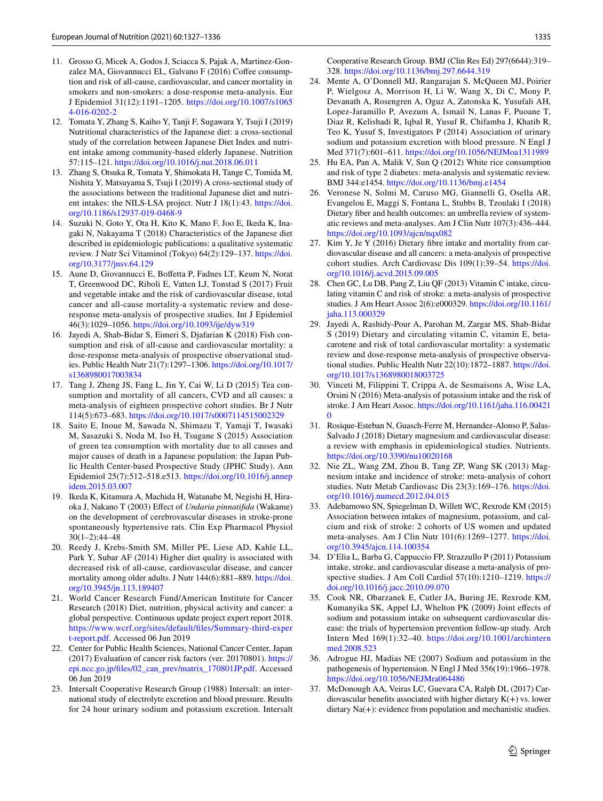- <span id="page-8-0"></span>11. Grosso G, Micek A, Godos J, Sciacca S, Pajak A, Martinez-Gonzalez MA, Giovannucci EL, Galvano F (2016) Coffee consumption and risk of all-cause, cardiovascular, and cancer mortality in smokers and non-smokers: a dose-response meta-analysis. Eur J Epidemiol 31(12):1191–1205. [https://doi.org/10.1007/s1065](https://doi.org/10.1007/s10654-016-0202-2) [4-016-0202-2](https://doi.org/10.1007/s10654-016-0202-2)
- <span id="page-8-1"></span>12. Tomata Y, Zhang S, Kaiho Y, Tanji F, Sugawara Y, Tsuji I (2019) Nutritional characteristics of the Japanese diet: a cross-sectional study of the correlation between Japanese Diet Index and nutrient intake among community-based elderly Japanese. Nutrition 57:115–121.<https://doi.org/10.1016/j.nut.2018.06.011>
- <span id="page-8-2"></span>13. Zhang S, Otsuka R, Tomata Y, Shimokata H, Tange C, Tomida M, Nishita Y, Matsuyama S, Tsuji I (2019) A cross-sectional study of the associations between the traditional Japanese diet and nutrient intakes: the NILS-LSA project. Nutr J 18(1):43. [https://doi.](https://doi.org/10.1186/s12937-019-0468-9) [org/10.1186/s12937-019-0468-9](https://doi.org/10.1186/s12937-019-0468-9)
- <span id="page-8-3"></span>14. Suzuki N, Goto Y, Ota H, Kito K, Mano F, Joo E, Ikeda K, Inagaki N, Nakayama T (2018) Characteristics of the Japanese diet described in epidemiologic publications: a qualitative systematic review. J Nutr Sci Vitaminol (Tokyo) 64(2):129–137. [https://doi.](https://doi.org/10.3177/jnsv.64.129) [org/10.3177/jnsv.64.129](https://doi.org/10.3177/jnsv.64.129)
- <span id="page-8-4"></span>15. Aune D, Giovannucci E, Bofetta P, Fadnes LT, Keum N, Norat T, Greenwood DC, Riboli E, Vatten LJ, Tonstad S (2017) Fruit and vegetable intake and the risk of cardiovascular disease, total cancer and all-cause mortality-a systematic review and doseresponse meta-analysis of prospective studies. Int J Epidemiol 46(3):1029–1056. <https://doi.org/10.1093/ije/dyw319>
- <span id="page-8-5"></span>16. Jayedi A, Shab-Bidar S, Eimeri S, Djafarian K (2018) Fish consumption and risk of all-cause and cardiovascular mortality: a dose-response meta-analysis of prospective observational studies. Public Health Nutr 21(7):1297–1306. [https://doi.org/10.1017/](https://doi.org/10.1017/s1368980017003834) [s1368980017003834](https://doi.org/10.1017/s1368980017003834)
- <span id="page-8-6"></span>17. Tang J, Zheng JS, Fang L, Jin Y, Cai W, Li D (2015) Tea consumption and mortality of all cancers, CVD and all causes: a meta-analysis of eighteen prospective cohort studies. Br J Nutr 114(5):673–683. <https://doi.org/10.1017/s0007114515002329>
- <span id="page-8-7"></span>18. Saito E, Inoue M, Sawada N, Shimazu T, Yamaji T, Iwasaki M, Sasazuki S, Noda M, Iso H, Tsugane S (2015) Association of green tea consumption with mortality due to all causes and major causes of death in a Japanese population: the Japan Public Health Center-based Prospective Study (JPHC Study). Ann Epidemiol 25(7):512–518.e513. [https://doi.org/10.1016/j.annep](https://doi.org/10.1016/j.annepidem.2015.03.007) [idem.2015.03.007](https://doi.org/10.1016/j.annepidem.2015.03.007)
- <span id="page-8-8"></span>19. Ikeda K, Kitamura A, Machida H, Watanabe M, Negishi H, Hiraoka J, Nakano T (2003) Efect of *Undaria pinnatifda* (Wakame) on the development of cerebrovascular diseases in stroke-prone spontaneously hypertensive rats. Clin Exp Pharmacol Physiol 30(1–2):44–48
- <span id="page-8-9"></span>20. Reedy J, Krebs-Smith SM, Miller PE, Liese AD, Kahle LL, Park Y, Subar AF (2014) Higher diet quality is associated with decreased risk of all-cause, cardiovascular disease, and cancer mortality among older adults. J Nutr 144(6):881–889. [https://doi.](https://doi.org/10.3945/jn.113.189407) [org/10.3945/jn.113.189407](https://doi.org/10.3945/jn.113.189407)
- <span id="page-8-10"></span>21. World Cancer Research Fund/American Institute for Cancer Research (2018) Diet, nutrition, physical activity and cancer: a global perspective. Continuous update project expert report 2018. [https://www.wcrf.org/sites/default/fles/Summary-third-exper](https://www.wcrf.org/sites/default/files/Summary-third-expert-report.pdf) [t-report.pdf.](https://www.wcrf.org/sites/default/files/Summary-third-expert-report.pdf) Accessed 06 Jun 2019
- <span id="page-8-11"></span>22. Center for Public Health Sciences, National Cancer Center, Japan (2017) Evaluation of cancer risk factors (ver. 20170801). [https://](https://epi.ncc.go.jp/files/02_can_prev/matrix_170801JP.pdf) [epi.ncc.go.jp/fles/02\\_can\\_prev/matrix\\_170801JP.pdf.](https://epi.ncc.go.jp/files/02_can_prev/matrix_170801JP.pdf) Accessed 06 Jun 2019
- <span id="page-8-12"></span>23. Intersalt Cooperative Research Group (1988) Intersalt: an international study of electrolyte excretion and blood pressure. Results for 24 hour urinary sodium and potassium excretion. Intersalt

Cooperative Research Group. BMJ (Clin Res Ed) 297(6644):319– 328.<https://doi.org/10.1136/bmj.297.6644.319>

- <span id="page-8-13"></span>24. Mente A, O'Donnell MJ, Rangarajan S, McQueen MJ, Poirier P, Wielgosz A, Morrison H, Li W, Wang X, Di C, Mony P, Devanath A, Rosengren A, Oguz A, Zatonska K, Yusufali AH, Lopez-Jaramillo P, Avezum A, Ismail N, Lanas F, Puoane T, Diaz R, Kelishadi R, Iqbal R, Yusuf R, Chifamba J, Khatib R, Teo K, Yusuf S, Investigators P (2014) Association of urinary sodium and potassium excretion with blood pressure. N Engl J Med 371(7):601–611. <https://doi.org/10.1056/NEJMoa1311989>
- <span id="page-8-14"></span>25. Hu EA, Pan A, Malik V, Sun Q (2012) White rice consumption and risk of type 2 diabetes: meta-analysis and systematic review. BMJ 344:e1454.<https://doi.org/10.1136/bmj.e1454>
- <span id="page-8-15"></span>26. Veronese N, Solmi M, Caruso MG, Giannelli G, Osella AR, Evangelou E, Maggi S, Fontana L, Stubbs B, Tzoulaki I (2018) Dietary fber and health outcomes: an umbrella review of systematic reviews and meta-analyses. Am J Clin Nutr 107(3):436–444. <https://doi.org/10.1093/ajcn/nqx082>
- 27. Kim Y, Je Y (2016) Dietary fbre intake and mortality from cardiovascular disease and all cancers: a meta-analysis of prospective cohort studies. Arch Cardiovasc Dis 109(1):39–54. [https://doi.](https://doi.org/10.1016/j.acvd.2015.09.005) [org/10.1016/j.acvd.2015.09.005](https://doi.org/10.1016/j.acvd.2015.09.005)
- 28. Chen GC, Lu DB, Pang Z, Liu QF (2013) Vitamin C intake, circulating vitamin C and risk of stroke: a meta-analysis of prospective studies. J Am Heart Assoc 2(6):e000329. [https://doi.org/10.1161/](https://doi.org/10.1161/jaha.113.000329) [jaha.113.000329](https://doi.org/10.1161/jaha.113.000329)
- 29. Jayedi A, Rashidy-Pour A, Parohan M, Zargar MS, Shab-Bidar S (2019) Dietary and circulating vitamin C, vitamin E, betacarotene and risk of total cardiovascular mortality: a systematic review and dose-response meta-analysis of prospective observational studies. Public Health Nutr 22(10):1872–1887. [https://doi.](https://doi.org/10.1017/s1368980018003725) [org/10.1017/s1368980018003725](https://doi.org/10.1017/s1368980018003725)
- 30. Vinceti M, Filippini T, Crippa A, de Sesmaisons A, Wise LA, Orsini N (2016) Meta-analysis of potassium intake and the risk of stroke. J Am Heart Assoc. [https://doi.org/10.1161/jaha.116.00421](https://doi.org/10.1161/jaha.116.004210)  $\boldsymbol{0}$  $\boldsymbol{0}$  $\boldsymbol{0}$
- 31. Rosique-Esteban N, Guasch-Ferre M, Hernandez-Alonso P, Salas-Salvado J (2018) Dietary magnesium and cardiovascular disease: a review with emphasis in epidemiological studies. Nutrients. <https://doi.org/10.3390/nu10020168>
- 32. Nie ZL, Wang ZM, Zhou B, Tang ZP, Wang SK (2013) Magnesium intake and incidence of stroke: meta-analysis of cohort studies. Nutr Metab Cardiovasc Dis 23(3):169–176. [https://doi.](https://doi.org/10.1016/j.numecd.2012.04.015) [org/10.1016/j.numecd.2012.04.015](https://doi.org/10.1016/j.numecd.2012.04.015)
- 33. Adebamowo SN, Spiegelman D, Willett WC, Rexrode KM (2015) Association between intakes of magnesium, potassium, and calcium and risk of stroke: 2 cohorts of US women and updated meta-analyses. Am J Clin Nutr 101(6):1269–1277. [https://doi.](https://doi.org/10.3945/ajcn.114.100354) [org/10.3945/ajcn.114.100354](https://doi.org/10.3945/ajcn.114.100354)
- <span id="page-8-16"></span>34. D'Elia L, Barba G, Cappuccio FP, Strazzullo P (2011) Potassium intake, stroke, and cardiovascular disease a meta-analysis of prospective studies. J Am Coll Cardiol 57(10):1210–1219. [https://](https://doi.org/10.1016/j.jacc.2010.09.070) [doi.org/10.1016/j.jacc.2010.09.070](https://doi.org/10.1016/j.jacc.2010.09.070)
- <span id="page-8-17"></span>35. Cook NR, Obarzanek E, Cutler JA, Buring JE, Rexrode KM, Kumanyika SK, Appel LJ, Whelton PK (2009) Joint efects of sodium and potassium intake on subsequent cardiovascular disease: the trials of hypertension prevention follow-up study. Arch Intern Med 169(1):32–40. [https://doi.org/10.1001/archintern](https://doi.org/10.1001/archinternmed.2008.523) [med.2008.523](https://doi.org/10.1001/archinternmed.2008.523)
- <span id="page-8-18"></span>36. Adrogue HJ, Madias NE (2007) Sodium and potassium in the pathogenesis of hypertension. N Engl J Med 356(19):1966–1978. <https://doi.org/10.1056/NEJMra064486>
- <span id="page-8-19"></span>37. McDonough AA, Veiras LC, Guevara CA, Ralph DL (2017) Cardiovascular benefits associated with higher dietary  $K(+)$  vs. lower dietary Na(+): evidence from population and mechanistic studies.